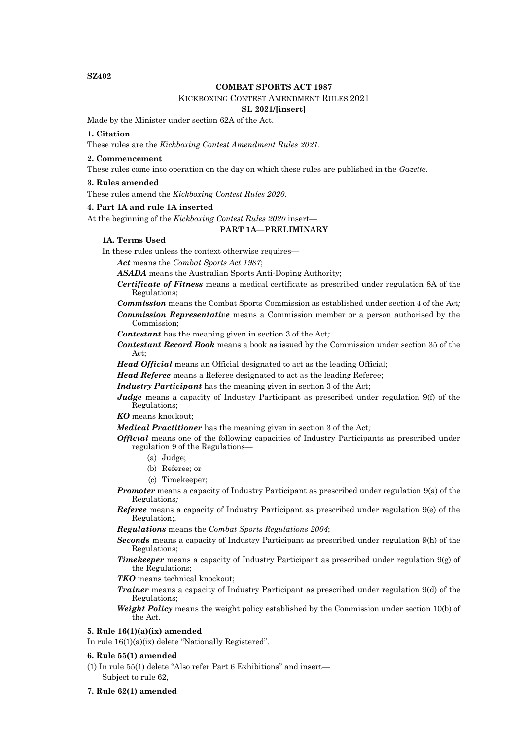**SZ402**

### **COMBAT SPORTS ACT 1987**

### KICKBOXING CONTEST AMENDMENT RULES 2021

# **SL 2021/[insert]**

Made by the Minister under section 62A of the Act.

### **1. Citation**

These rules are the *Kickboxing Contest Amendment Rules 2021*.

### **2. Commencement**

These rules come into operation on the day on which these rules are published in the *Gazette*.

### **3. Rules amended**

These rules amend the *Kickboxing Contest Rules 2020.*

## **4. Part 1A and rule 1A inserted**

At the beginning of the *Kickboxing Contest Rules 2020* insert—

#### **PART 1A—PRELIMINARY**

#### **1A. Terms Used**

In these rules unless the context otherwise requires—

*Act* means the *Combat Sports Act 1987*;

*ASADA* means the Australian Sports Anti-Doping Authority;

*Certificate of Fitness* means a medical certificate as prescribed under regulation 8A of the Regulations;

*Commission* means the Combat Sports Commission as established under section 4 of the Act*; Commission Representative* means a Commission member or a person authorised by the Commission;

*Contestant* has the meaning given in section 3 of the Act*;*

*Contestant Record Book* means a book as issued by the Commission under section 35 of the Act;

*Head Official* means an Official designated to act as the leading Official;

*Head Referee* means a Referee designated to act as the leading Referee;

*Industry Participant* has the meaning given in section 3 of the Act;

*Judge* means a capacity of Industry Participant as prescribed under regulation 9(f) of the Regulations;

*KO* means knockout;

*Medical Practitioner* has the meaning given in section 3 of the Act*;*

- *Official* means one of the following capacities of Industry Participants as prescribed under regulation 9 of the Regulation*s—*
	- (a) Judge;
	- (b) Referee; or
	- (c) Timekeeper;

*Promoter* means a capacity of Industry Participant as prescribed under regulation 9(a) of the Regulations*;*

*Referee* means a capacity of Industry Participant as prescribed under regulation 9(e) of the Regulation;.

*Regulations* means the *Combat Sports Regulations 2004*;

- *Seconds* means a capacity of Industry Participant as prescribed under regulation 9(h) of the Regulations;
- *Timekeeper* means a capacity of Industry Participant as prescribed under regulation 9(g) of the Regulations;

*TKO* means technical knockout;

*Trainer* means a capacity of Industry Participant as prescribed under regulation 9(d) of the Regulations;

*Weight Policy* means the weight policy established by the Commission under section 10(b) of the Act.

# **5. Rule 16(1)(a)(ix) amended**

In rule 16(1)(a)(ix) delete "Nationally Registered".

### **6. Rule 55(1) amended**

- (1) In rule 55(1) delete "Also refer Part 6 Exhibitions" and insert— Subject to rule 62,
- **7. Rule 62(1) amended**